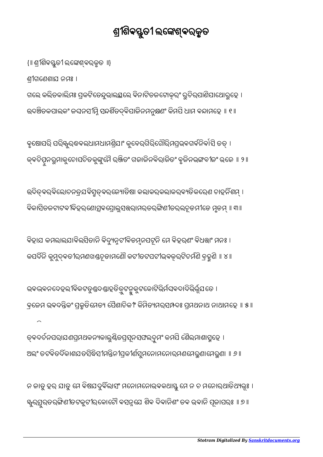ନ ଜାତୁ ହର ଯାତୁ ମେ ବିଷଯଦୁର୍ବିଲାସଂ ମନୋମନୋଭ୍ବକଥାସ୍ତୁ ମେ ନ ଚ ମନୋର୍ଥାତିଥ୍ୟଭୂଃ । ୱ୍କୁରସ୍ତୁରତରଙ୍ଗିଣୀତଟକୁଟୀରକୋଟୌ ବସନ୍ନଯେ ଶିବ ଦିବାନିଶଂ ତବ ଭବାନି ପୂଜାପରଃ ॥ ୭ ॥

ତ୍କଦର୍ଚନପର୍।ଯଣପ୍ରମଥକନ୍ୟକାଲୁଣ୍ଡିତପ୍ରସୂନସଫଲଦ୍ରୁମଂ କମପି ଶୈଲମାଶାସ୍ମୁହେ । ଅଲଂ ତଟବତଦକାଶଯତସବ୍ଧସୀମନ୍ତନୀପ୍ରକୀଣସୁମନୋମନୋର୍ମଣମେରୁଣାମେରୁଣା ॥ ୬ ॥

ଭବଭବନଦେହଲୀବିକଟତୁଣ୍ଡଦଣ୍ଡାହତିତ୍ରୁଟନ୍ମକୁଟକୋଟିଭିର୍ମଘବଦାଦିଭିର୍ଭୂଯତେ । କ୍ୱଜେମ ଭ୍ରବଦନ୍ତିକଂ ପୁକ୍ରତିମେତ୍ୟ ପୈଶାଚିକୀଂ କିମିତ୍ୟମର୍ସ୍ନନ୍ଦଃ ପ୍ରମଥନାଥ ନାଥାମହେ ॥ ୫ ॥

ବିହାଯ କମଲାଲଯାବିଲସିତାନି ବିଦ୍ୟୁନ୍ନଟୀବିଡମ୍ବନପଟୂନି ମେ ବିହରଣଂ ବିଧତ୍ତାଂ ମନଃ । କପଦନି କ ମୁ ଵତୀରମଣଖଚ ୁ ୂଡାମେଣୗ କଟୀତଟପଟୀଭଵରଟିଚମଣି ବହଣି ॥ ୪॥

ଉଦିତ୍ବର୍ବିଲୋଚନତ୍ରଯବିସ୍ରୁତ୍ବର୍ଜ୍ୟୋତିଷା କଲାକର୍କଲାକର୍ବ୍ୟତିକରେଣ ଚାହର୍ନିଶମ୍ । ବିକାସିତଜଟାଟବୀବିହରଣୋତ୍ସବପ୍ରୋଲୁସତ୍ତରାମର୍ତରଙ୍ଗିଣୀତର୍ଲଚୂଡମୀଡେ ମୃଡମ୍ ॥ ୩ ॥

କୃଷୋପରି ପରି୍୍ୟୁର୍ଷକଲଧାମଧାମଶ୍ରିଯାଂ କୁବେରଗିରିଗୌରିମପ୍ରଭବଗର୍ବନିର୍ବାସି ତତ୍ । କ୍ଵଚିତ୍ପନରୁମାକୁଚୋପଚିତକୁଙ୍କୁମୈ ରଞ୍ଜିତଂ ଗଜାଜିନକିରାଜିତଂ ବୃଜିନଭଙ୍ଗବୀଜଂ ଭଜେ ॥ ୨ ॥

{॥ ଶ୍ରୀଶିବସ୍ତୁତୀ ଲଙ୍କେଶ୍ବରକୃତ ⊪} ଶୀଗେଣଶାଯ ନମଃ । ଗଲେ କଲିତକାଲିମଃ ପ୍ରକଟିତେନ୍ଦୁଭାଲୟୁଲେ ବିନାଟିତଜଟୋକୂରଂ ରୁଚିର୍ପାଣିପାଥୋରୁହେ । ଉଦଞ୍ଚିତକପାଲକଂ ଜଘନସୀମ୍ନି ସନ୍ଦର୍ଶିତଦ୍ବିପାଜିନମନୁକ୍ଷଣଂ କିମପି ଧାମ ବନ୍ଦାମହେ ॥ ୧ ॥

## ଶ୍ରୀଶିବସ୍ତୁତୀ ଲଙ୍କେଶ୍ବରକୃତ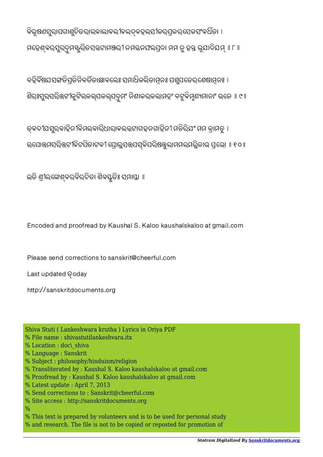ବିଭୂଷଣସୁରାପଗାଣୁଚିତରାଲବାଲାବଲୀବଲଦ୍ବହଲସୀକର୍ପକର୍ ସେକସଂବର୍ଧିତା । ମହେଶ୍ବରସୁର୍ଦ୍ରମଷ୍କୁରିତସଜ୍ଜଟାମଞ୍ଜରୀ ନମଜନଫଲପ୍ରଦା ମମ ନୁ ହନ୍ତ ଭୂଯାଦିଯମ୍ ॥ ୮ ॥

ବହିର୍ବିଷଯସଙ୍ଗତିପତିନିବର୍ତିତାକ୍ଷାବଲେଃ ସମାଧିକଲିତାମନଃ ପଶ୍ଚପତେରୁଶେଷାମନଃ । ଶିରଃସୁରସରିଭଟୀକୁଟିଲକଲ୍ପକଲ୍ପଦ୍ରୁମଂ ନିଶାକରକଲାମହଂ ବଟୁବିମ୍ନଶ୍ୟମାନାଂ ଭଜେ ॥ ୯ ॥

ତ୍କଦୀଯସୁର୍ବାହିନୀବିମଲବାରିଧାରାବଲଜଟାଗହନଗାହିନୀ ମତିରିଯଂ ମମ କାମତୁ । ଉପୋତ୍ତମସରିତ୍ତଟୀକିଟପିତାଟକୀ ପ୍ରୋଲୁସଭ୍ପସ୍କବିପରିଷଭୁଲାମମଲମଲ୍ଲିକାଭ୍ ପ୍ରଭୋ ॥ ୧୦ ॥

ଇତି ଶ୍ରୀଲଙ୍କେଶ୍ବର୍ବିରଚିତା ଶିବସ୍ତୁତିଃ ସମାସ୍ତା ॥

Encoded and proofread by Kaushal S. Kaloo kaushalskaloo at gmail.com

Please send corrections to sanskrit@cheerful.com

Last updated **@oday** 

http://sanskritdocuments.org

Shiva Stuti ( Lankeshwara krutha ) Lyrics in Oriya PDF % File name : shivastutilankeshvara.itx % Location : doc\ shiva % Language : Sanskrit % Subject : philosophy/hinduism/religion % Transliterated by : Kaushal S. Kaloo kaushalskaloo at gmail.com % Proofread by : Kaushal S. Kaloo kaushalskaloo at gmail.com % Latest update : April 7, 2013 % Send corrections to : Sanskrit@cheerful.com % Site access : http://sanskritdocuments.org  $\frac{0}{0}$ % This text is prepared by volunteers and is to be used for personal study % and research. The file is not to be copied or reposted for promotion of